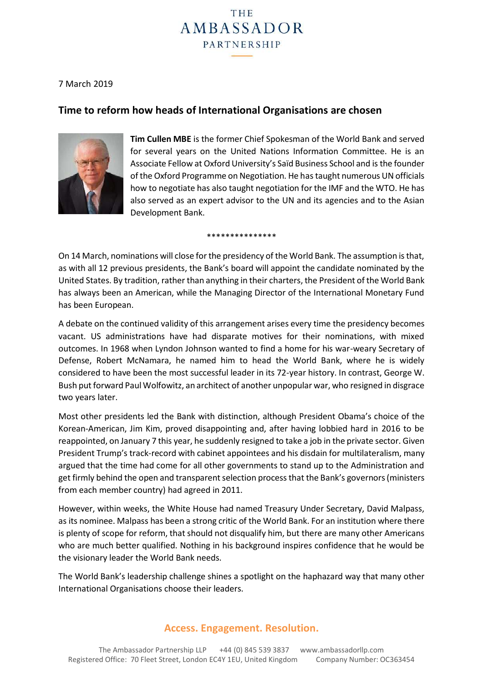

## 7 March 2019

# **Time to reform how heads of International Organisations are chosen**



**Tim Cullen MBE** is the former Chief Spokesman of the World Bank and served for several years on the United Nations Information Committee. He is an Associate Fellow at Oxford University's Saïd Business School and is the founder of the Oxford Programme on Negotiation. He has taught numerous UN officials how to negotiate has also taught negotiation for the IMF and the WTO. He has also served as an expert advisor to the UN and its agencies and to the Asian Development Bank.

\*\*\*\*\*\*\*\*\*\*\*\*\*\*

On 14 March, nominations will close for the presidency of the World Bank. The assumption is that, as with all 12 previous presidents, the Bank's board will appoint the candidate nominated by the United States. By tradition, rather than anything in their charters, the President of the World Bank has always been an American, while the Managing Director of the International Monetary Fund has been European.

A debate on the continued validity of this arrangement arises every time the presidency becomes vacant. US administrations have had disparate motives for their nominations, with mixed outcomes. In 1968 when Lyndon Johnson wanted to find a home for his war-weary Secretary of Defense, Robert McNamara, he named him to head the World Bank, where he is widely considered to have been the most successful leader in its 72-year history. In contrast, George W. Bush put forward Paul Wolfowitz, an architect of another unpopular war, who resigned in disgrace two years later.

Most other presidents led the Bank with distinction, although President Obama's choice of the Korean-American, Jim Kim, proved disappointing and, after having lobbied hard in 2016 to be reappointed, on January 7 this year, he suddenly resigned to take a job in the private sector. Given President Trump's track-record with cabinet appointees and his disdain for multilateralism, many argued that the time had come for all other governments to stand up to the Administration and get firmly behind the open and transparent selection process that the Bank's governors (ministers from each member country) had agreed in 2011.

However, within weeks, the White House had named Treasury Under Secretary, David Malpass, as its nominee. Malpass has been a strong critic of the World Bank. For an institution where there is plenty of scope for reform, that should not disqualify him, but there are many other Americans who are much better qualified. Nothing in his background inspires confidence that he would be the visionary leader the World Bank needs.

The World Bank's leadership challenge shines a spotlight on the haphazard way that many other International Organisations choose their leaders.

## **Access. Engagement. Resolution.**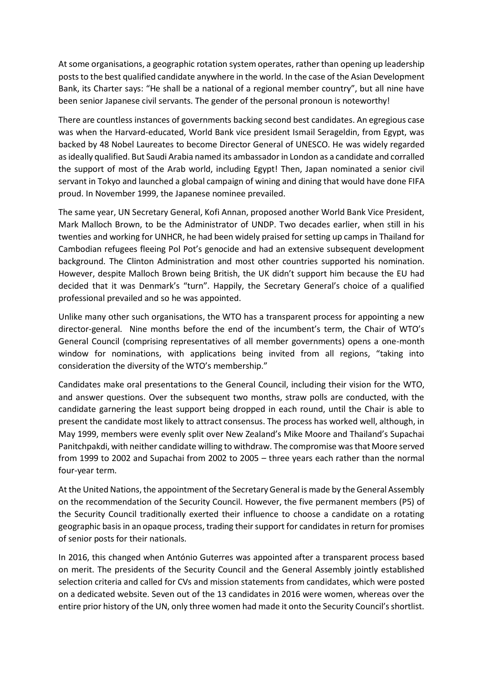At some organisations, a geographic rotation system operates, rather than opening up leadership posts to the best qualified candidate anywhere in the world. In the case of the Asian Development Bank, its Charter says: "He shall be a national of a regional member country", but all nine have been senior Japanese civil servants. The gender of the personal pronoun is noteworthy!

There are countless instances of governments backing second best candidates. An egregious case was when the Harvard-educated, World Bank vice president Ismail Serageldin, from Egypt, was backed by 48 Nobel Laureates to become Director General of UNESCO. He was widely regarded as ideally qualified. But Saudi Arabia named its ambassador in London as a candidate and corralled the support of most of the Arab world, including Egypt! Then, Japan nominated a senior civil servant in Tokyo and launched a global campaign of wining and dining that would have done FIFA proud. In November 1999, the Japanese nominee prevailed.

The same year, UN Secretary General, Kofi Annan, proposed another World Bank Vice President, Mark Malloch Brown, to be the Administrator of UNDP. Two decades earlier, when still in his twenties and working for UNHCR, he had been widely praised for setting up camps in Thailand for Cambodian refugees fleeing Pol Pot's genocide and had an extensive subsequent development background. The Clinton Administration and most other countries supported his nomination. However, despite Malloch Brown being British, the UK didn't support him because the EU had decided that it was Denmark's "turn". Happily, the Secretary General's choice of a qualified professional prevailed and so he was appointed.

Unlike many other such organisations, the WTO has a transparent process for appointing a new director-general. Nine months before the end of the incumbent's term, the Chair of WTO's General Council (comprising representatives of all member governments) opens a one-month window for nominations, with applications being invited from all regions, "taking into consideration the diversity of the WTO's membership."

Candidates make oral presentations to the General Council, including their vision for the WTO, and answer questions. Over the subsequent two months, straw polls are conducted, with the candidate garnering the least support being dropped in each round, until the Chair is able to present the candidate most likely to attract consensus. The process has worked well, although, in May 1999, members were evenly split over New Zealand's Mike Moore and Thailand's Supachai Panitchpakdi, with neither candidate willing to withdraw. The compromise was that Moore served from 1999 to 2002 and Supachai from 2002 to 2005 – three years each rather than the normal four-year term.

At the United Nations, the appointment of the Secretary General is made by the General Assembly on the recommendation of the Security Council. However, the five permanent members (P5) of the Security Council traditionally exerted their influence to choose a candidate on a rotating geographic basis in an opaque process, trading their support for candidates in return for promises of senior posts for their nationals.

In 2016, this changed when António Guterres was appointed after a transparent process based on merit. The presidents of the Security Council and the General Assembly jointly established selection criteria and called for CVs and mission statements from candidates, which were posted on a dedicated website. Seven out of the 13 candidates in 2016 were women, whereas over the entire prior history of the UN, only three women had made it onto the Security Council's shortlist.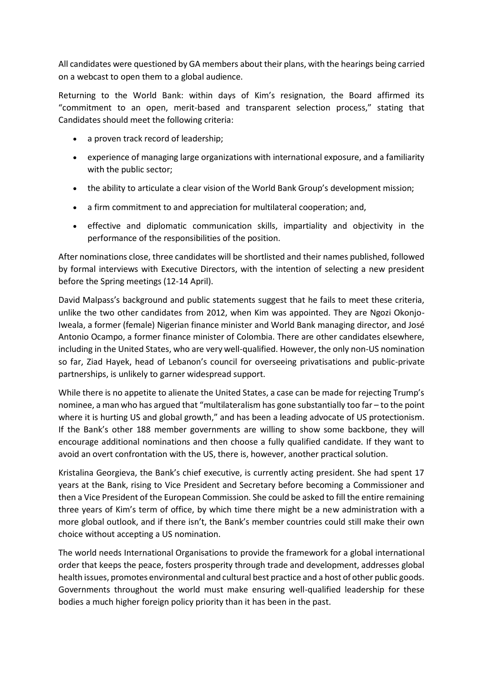All candidates were questioned by GA members about their plans, with the hearings being carried on a webcast to open them to a global audience.

Returning to the World Bank: within days of Kim's resignation, the Board affirmed its "commitment to an open, merit-based and transparent selection process," stating that Candidates should meet the following criteria:

- a proven track record of leadership;
- experience of managing large organizations with international exposure, and a familiarity with the public sector;
- the ability to articulate a clear vision of the World Bank Group's development mission;
- a firm commitment to and appreciation for multilateral cooperation; and,
- effective and diplomatic communication skills, impartiality and objectivity in the performance of the responsibilities of the position.

After nominations close, three candidates will be shortlisted and their names published, followed by formal interviews with Executive Directors, with the intention of selecting a new president before the Spring meetings (12-14 April).

David Malpass's background and public statements suggest that he fails to meet these criteria, unlike the two other candidates from 2012, when Kim was appointed. They are Ngozi Okonjo-Iweala, a former (female) Nigerian finance minister and World Bank managing director, and José Antonio Ocampo, a former finance minister of Colombia. There are other candidates elsewhere, including in the United States, who are very well-qualified. However, the only non-US nomination so far, Ziad Hayek, head of Lebanon's council for overseeing privatisations and public-private partnerships, is unlikely to garner widespread support.

While there is no appetite to alienate the United States, a case can be made for rejecting Trump's nominee, a man who has argued that "multilateralism has gone substantially too far – to the point where it is hurting US and global growth," and has been a leading advocate of US protectionism. If the Bank's other 188 member governments are willing to show some backbone, they will encourage additional nominations and then choose a fully qualified candidate. If they want to avoid an overt confrontation with the US, there is, however, another practical solution.

Kristalina Georgieva, the Bank's chief executive, is currently acting president. She had spent 17 years at the Bank, rising to Vice President and Secretary before becoming a Commissioner and then a Vice President of the European Commission. She could be asked to fill the entire remaining three years of Kim's term of office, by which time there might be a new administration with a more global outlook, and if there isn't, the Bank's member countries could still make their own choice without accepting a US nomination.

The world needs International Organisations to provide the framework for a global international order that keeps the peace, fosters prosperity through trade and development, addresses global health issues, promotes environmental and cultural best practice and a host of other public goods. Governments throughout the world must make ensuring well-qualified leadership for these bodies a much higher foreign policy priority than it has been in the past.